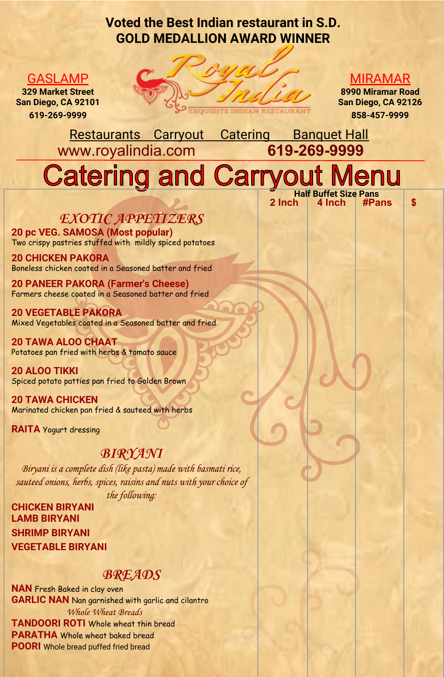## Voted the Best Indian restaurant in S.D. GOLD MEDALLION AWARD WINNER



#### MIRAMAR

8990 Miramar Road San Diego, CA 92126 858-457-9999

 $2$  Inch  $4$  Inch  $#Pans$  \$

Restaurants Carryout Catering Banquet Hall<br>ww.rovalindia.com 619-269-9999 www.royalindia.com

# **Catering and Carryo** Half Buffet Size Pans

**EXOTIC APPETIZERS** 

20 pc VEG. SAMOSA (Most popular) Two crispy pastries stuffed with mildly spiced potatoes

20 CHICKEN PAKORA Boneless chicken coated in a Seasoned batter and fried

20 PANEER PAKORA (Farmer's Cheese) Farmers cheese coated in a Seasoned batter and fried

20 VEGETABLE PAKORA Mixed Vegetables coated in a Seasoned batter and fried

20 TAWA ALOO CHAAT Potatoes pan fried with herbs & tomato sauce

20 ALOO TIKKI Spiced potato patties pan fried to Golden Brown

20 TAWA CHICKEN Marinated chicken pan fried & sauteed with herbs

RAITA Yogurt dressing

GASLAMP 329 Market Street San Diego, CA 92101 619-269-9999

#### **BIRYANI**

Biryani is a complete dish (like pasta) made with basmati rice, sauteed onions, herbs, spices, raisins and nuts with your choice of the following:

CHICKEN BIRYANI LAMB BIRYANI SHRIMP BIRYANI VEGETABLE BIRYANI

#### **BREADS**

NAN Fresh Baked in clay oven GARLIC NAN Nan garnished with garlic and cilantro Whole Wheat Breads TANDOORI ROTI Whole wheat thin bread PARATHA Whole wheat baked bread POORI Whole bread puffed fried bread